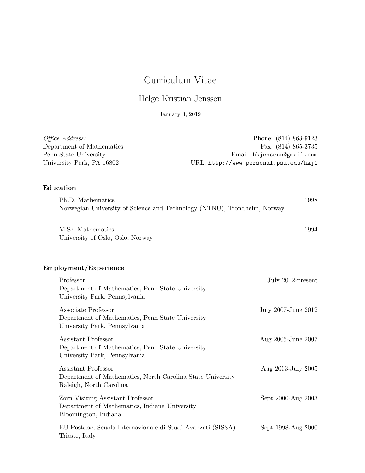# Curriculum Vitae

## Helge Kristian Jenssen

January 3, 2019

| <i>Office Address:</i>    | Phone: (814) 863-9123                 |
|---------------------------|---------------------------------------|
| Department of Mathematics | Fax: $(814) 865-3735$                 |
| Penn State University     | Email: hkjenssen@gmail.com            |
| University Park, PA 16802 | URL: http://www.personal.psu.edu/hkj1 |

## Education

| Ph.D. Mathematics                                                        | $1998\,$ |
|--------------------------------------------------------------------------|----------|
| Norwegian University of Science and Technology (NTNU), Trondheim, Norway |          |

M.Sc. Mathematics 1994 University of Oslo, Oslo, Norway

## Employment/Experience

| Professor<br>Department of Mathematics, Penn State University<br>University Park, Pennsylvania               | July 2012-present   |
|--------------------------------------------------------------------------------------------------------------|---------------------|
| Associate Professor<br>Department of Mathematics, Penn State University<br>University Park, Pennsylvania     | July 2007-June 2012 |
| Assistant Professor<br>Department of Mathematics, Penn State University<br>University Park, Pennsylvania     | Aug 2005-June 2007  |
| Assistant Professor<br>Department of Mathematics, North Carolina State University<br>Raleigh, North Carolina | Aug 2003-July 2005  |
| Zorn Visiting Assistant Professor<br>Department of Mathematics, Indiana University<br>Bloomington, Indiana   | Sept 2000-Aug 2003  |
| EU Postdoc, Scuola Internazionale di Studi Avanzati (SISSA)<br>Trieste, Italy                                | Sept 1998-Aug 2000  |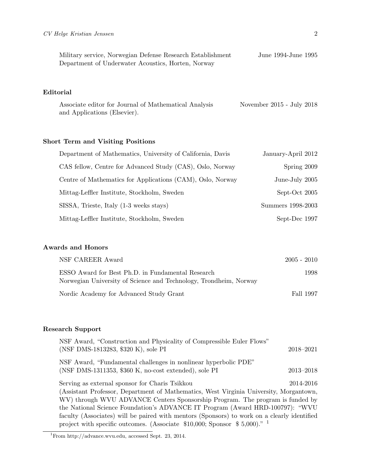| Military service, Norwegian Defense Research Establishment | June 1994-June 1995 |
|------------------------------------------------------------|---------------------|
| Department of Underwater Acoustics, Horten, Norway         |                     |

## Editorial

Associate editor for Journal of Mathematical Analysis November 2015 - July 2018 and Applications (Elsevier).

### Short Term and Visiting Positions

| Department of Mathematics, University of California, Davis | January-April 2012 |
|------------------------------------------------------------|--------------------|
| CAS fellow, Centre for Advanced Study (CAS), Oslo, Norway  | Spring 2009        |
| Centre of Mathematics for Applications (CAM), Oslo, Norway | June-July 2005     |
| Mittag-Leffler Institute, Stockholm, Sweden                | Sept-Oct 2005      |
| SISSA, Trieste, Italy (1-3 weeks stays)                    | Summers 1998-2003  |
| Mittag-Leffler Institute, Stockholm, Sweden                | Sept-Dec 1997      |

### Awards and Honors

| NSF CAREER Award                                                                                                       | $2005 - 2010$ |
|------------------------------------------------------------------------------------------------------------------------|---------------|
| ESSO Award for Best Ph.D. in Fundamental Research<br>Norwegian University of Science and Technology, Trondheim, Norway | 1998          |
| Nordic Academy for Advanced Study Grant                                                                                | Fall 1997     |

#### Research Support

| NSF Award, "Construction and Physicality of Compressible Euler Flows"<br>(NSF DMS-1813283, \$320 K), sole PI | 2018-2021     |
|--------------------------------------------------------------------------------------------------------------|---------------|
| NSF Award, "Fundamental challenges in nonlinear hyperbolic PDE"                                              |               |
| (NSF DMS-1311353, $$360 K$ , no-cost extended), sole PI                                                      | $2013 - 2018$ |
| Serving as external sponsor for Charis Tsikkou                                                               | 2014-2016     |
| (Assistant Professor, Department of Mathematics, West Virginia University, Morgantown,                       |               |
| WV) through WVU ADVANCE Centers Sponsorship Program. The program is funded by                                |               |
| the National Science Foundation's ADVANCE IT Program (Award HRD-100797): "WVU                                |               |
| faculty (Associates) will be paired with mentors (Sponsors) to work on a clearly identified                  |               |
| project with specific outcomes. (Associate $$10,000$ ; Sponsor $$5,000$ )." <sup>1</sup>                     |               |

<sup>1</sup>From http://advance.wvu.edu, accessed Sept. 23, 2014.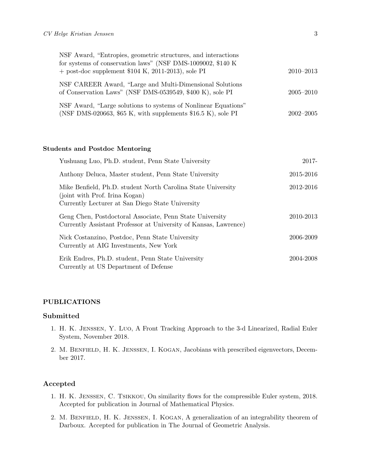| NSF Award, "Entropies, geometric structures, and interactions"<br>for systems of conservation laws" (NSF DMS-1009002, \$140 K)   |               |
|----------------------------------------------------------------------------------------------------------------------------------|---------------|
| $+$ post-doc supplement \$104 K, 2011-2013), sole PI                                                                             | $2010 - 2013$ |
| NSF CAREER Award, "Large and Multi-Dimensional Solutions"<br>of Conservation Laws" (NSF DMS-0539549, \$400 K), sole PI           | $2005 - 2010$ |
| NSF Award, "Large solutions to systems of Nonlinear Equations"<br>(NSF DMS-020663, \$65 K, with supplements $$16.5 K$ ), sole PI | $2002 - 2005$ |

#### Students and Postdoc Mentoring

| Yushuang Luo, Ph.D. student, Penn State University                                                                                                 | 2017-     |
|----------------------------------------------------------------------------------------------------------------------------------------------------|-----------|
| Anthony Deluca, Master student, Penn State University                                                                                              | 2015-2016 |
| Mike Benfield, Ph.D. student North Carolina State University<br>(joint with Prof. Irina Kogan)<br>Currently Lecturer at San Diego State University | 2012-2016 |
| Geng Chen, Postdoctoral Associate, Penn State University<br>Currently Assistant Professor at University of Kansas, Lawrence)                       | 2010-2013 |
| Nick Costanzino, Postdoc, Penn State University<br>Currently at AIG Investments, New York                                                          | 2006-2009 |
| Erik Endres, Ph.D. student, Penn State University<br>Currently at US Department of Defense                                                         | 2004-2008 |

#### PUBLICATIONS

#### Submitted

- 1. H. K. Jenssen, Y. Luo, A Front Tracking Approach to the 3-d Linearized, Radial Euler System, November 2018.
- 2. M. Benfield, H. K. Jenssen, I. Kogan, Jacobians with prescribed eigenvectors, December 2017.

#### Accepted

- 1. H. K. Jenssen, C. Tsikkou, On similarity flows for the compressible Euler system, 2018. Accepted for publication in Journal of Mathematical Physics.
- 2. M. Benfield, H. K. Jenssen, I. Kogan, A generalization of an integrability theorem of Darboux. Accepted for publication in The Journal of Geometric Analysis.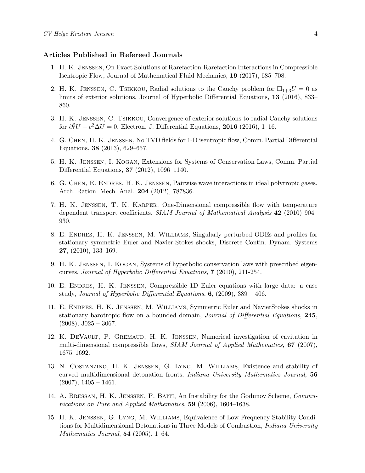#### Articles Published in Refereed Journals

- 1. H. K. Jenssen, On Exact Solutions of Rarefaction-Rarefaction Interactions in Compressible Isentropic Flow, Journal of Mathematical Fluid Mechanics, 19 (2017), 685–708.
- 2. H. K. JENSSEN, C. TSIKKOU, Radial solutions to the Cauchy problem for  $\Box_{1+3}U = 0$  as limits of exterior solutions, Journal of Hyperbolic Differential Equations, 13 (2016), 833– 860.
- 3. H. K. Jenssen, C. Tsikkou, Convergence of exterior solutions to radial Cauchy solutions for  $\partial_t^2 U - c^2 \Delta U = 0$ , Electron. J. Differential Equations, 2016 (2016), 1–16.
- 4. G. Chen, H. K. Jenssen, No TVD fields for 1-D isentropic flow, Comm. Partial Differential Equations, 38 (2013), 629–657.
- 5. H. K. Jenssen, I. Kogan, Extensions for Systems of Conservation Laws, Comm. Partial Differential Equations, 37 (2012), 1096–1140.
- 6. G. Chen, E. Endres, H. K. Jenssen, Pairwise wave interactions in ideal polytropic gases. Arch. Ration. Mech. Anal. 204 (2012), 787836.
- 7. H. K. Jenssen, T. K. Karper, One-Dimensional compressible flow with temperature dependent transport coefficients, SIAM Journal of Mathematical Analysis 42 (2010) 904– 930.
- 8. E. Endres, H. K. Jenssen, M. Williams, Singularly perturbed ODEs and profiles for stationary symmetric Euler and Navier-Stokes shocks, Discrete Contin. Dynam. Systems 27, (2010), 133–169.
- 9. H. K. Jenssen, I. Kogan, Systems of hyperbolic conservation laws with prescribed eigencurves, Journal of Hyperbolic Differential Equations, 7 (2010), 211-254.
- 10. E. Endres, H. K. Jenssen, Compressible 1D Euler equations with large data: a case study, Journal of Hyperbolic Differential Equations,  $6$ , (2009), 389 – 406.
- 11. E. Endres, H. K. Jenssen, M. Williams, Symmetric Euler and NavierStokes shocks in stationary barotropic flow on a bounded domain, Journal of Differential Equations, 245,  $(2008), 3025 - 3067.$
- 12. K. DeVault, P. Gremaud, H. K. Jenssen, Numerical investigation of cavitation in multi-dimensional compressible flows, SIAM Journal of Applied Mathematics, 67 (2007), 1675–1692.
- 13. N. Costanzino, H. K. Jenssen, G. Lyng, M. Williams, Existence and stability of curved multidimensional detonation fronts, Indiana University Mathematics Journal, 56  $(2007), 1405 - 1461.$
- 14. A. BRESSAN, H. K. JENSSEN, P. BAITI, An Instability for the Godunov Scheme, Communications on Pure and Applied Mathematics, 59 (2006), 1604–1638.
- 15. H. K. Jenssen, G. Lyng, M. Williams, Equivalence of Low Frequency Stability Conditions for Multidimensional Detonations in Three Models of Combustion, *Indiana University Mathematics Journal*,  $54$  (2005), 1–64.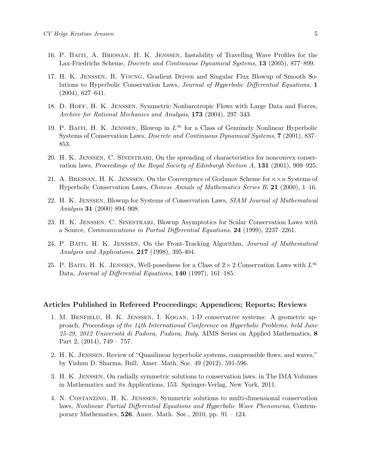- 16. P. Baiti, A. Bressan, H. K. Jenssen, Instability of Travelling Wave Profiles for the Lax-Friedrichs Scheme, Discrete and Continuous Dynamical Systems, 13 (2005), 877–899.
- 17. H. K. Jenssen, R. Young, Gradient Driven and Singular Flux Blowup of Smooth Solutions to Hyperbolic Conservation Laws, Journal of Hyperbolic Differential Equations, 1 (2004), 627–641.
- 18. D. Hoff, H. K. Jenssen, Symmetric Nonbarotropic Flows with Large Data and Forces, Archive for Rational Mechanics and Analysis, 173 (2004), 297-343.
- 19. P. Baiti, H. K. JENSSEN, Blowup in  $L^{\infty}$  for a Class of Genuinely Nonlinear Hyperbolic Systems of Conservation Laws, Discrete and Continuous Dynamical Systems, 7 (2001), 837– 853.
- 20. H. K. Jenssen, C. Sinestrari, On the spreading of characteristics for nonconvex conservation laws, Proceedings of the Royal Society of Edinburgh Section A, 131 (2001), 909–925.
- 21. A. BRESSAN, H. K. JENSSEN, On the Convergence of Godunov Scheme for  $n \times n$  Systems of Hyperbolic Conservation Laws, Chinese Annals of Mathematics Series B, 21 (2000), 1–16.
- 22. H. K. Jenssen, Blowup for Systems of Conservation Laws, SIAM Journal of Mathematical Analysis 31 (2000) 894–908.
- 23. H. K. Jenssen, C. Sinestrari, Blowup Asymptotics for Scalar Conservation Laws with a Source, Communications in Partial Differential Equations, 24 (1999), 2237–2261.
- 24. P. Baiti, H. K. Jenssen, On the Front-Tracking Algorithm, Journal of Mathematical Analysis and Applications, 217 (1998), 395-404.
- 25. P. BAITI, H. K. JENSSEN, Well-posedness for a Class of  $2 \times 2$  Conservation Laws with  $L^{\infty}$ Data, Journal of Differential Equations, 140 (1997), 161–185.

#### Articles Published in Refereed Proceedings; Appendices; Reports; Reviews

- 1. M. Benfield, H. K. Jenssen, I. Kogan, 1-D conservative systems: A geometric approach, Proceedings of the 14th International Conference on Hyperbolic Problems, held June  $25-29$ ,  $2012$  Università di Padova, Padova, Italy, AIMS Series on Applied Mathematics, 8 Part 2,  $(2014)$ ,  $749 - 757$ .
- 2. H. K. Jenssen, Review of "Quasilinear hyperbolic systems, compressible flows, and waves," by Vishnu D. Sharma, Bull. Amer. Math. Soc. 49 (2012), 591-596.
- 3. H. K. Jenssen, On radially symmetric solutions to conservation laws, in The IMA Volumes in Mathematics and its Applications, 153. Springer-Verlag, New York, 2011.
- 4. N. Costanzino, H. K. Jenssen, Symmetric solutions to multi-dimensional conservation laws, Nonlinear Partial Differential Equations and Hyperbolic Wave Phenomena, Contemporary Mathematics,  $526$ , Amer. Math. Soc.,  $2010$ , pp.  $91 - 124$ .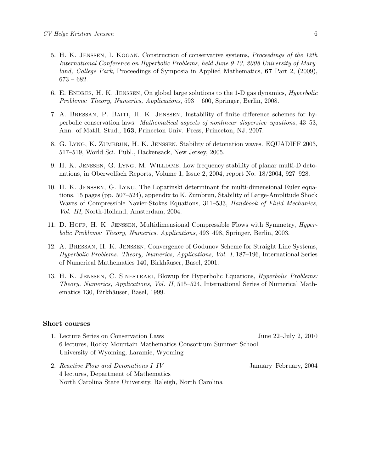- 5. H. K. Jenssen, I. Kogan, Construction of conservative systems, Proceedings of the 12th International Conference on Hyperbolic Problems, held June 9-13, 2008 University of Maryland, College Park, Proceedings of Symposia in Applied Mathematics, 67 Part 2, (2009), 673 – 682.
- 6. E. Endres, H. K. Jenssen, On global large solutions to the 1-D gas dynamics, Hyperbolic Problems: Theory, Numerics, Applications, 593 – 600, Springer, Berlin, 2008.
- 7. A. Bressan, P. Baiti, H. K. Jenssen, Instability of finite difference schemes for hyperbolic conservation laws. Mathematical aspects of nonlinear dispersive equations, 43–53, Ann. of MatH. Stud., 163, Princeton Univ. Press, Princeton, NJ, 2007.
- 8. G. Lyng, K. Zumbrun, H. K. Jenssen, Stability of detonation waves. EQUADIFF 2003, 517–519, World Sci. Publ., Hackensack, New Jersey, 2005.
- 9. H. K. Jenssen, G. Lyng, M. Williams, Low frequency stability of planar multi-D detonations, in Oberwolfach Reports, Volume 1, Issue 2, 2004, report No. 18/2004, 927–928.
- 10. H. K. Jenssen, G. Lyng, The Lopatinski determinant for multi-dimensional Euler equations, 15 pages (pp. 507–524), appendix to K. Zumbrun, Stability of Large-Amplitude Shock Waves of Compressible Navier-Stokes Equations, 311–533, Handbook of Fluid Mechanics, Vol. III, North-Holland, Amsterdam, 2004.
- 11. D. HOFF, H. K. JENSSEN, Multidimensional Compressible Flows with Symmetry, *Hyper*bolic Problems: Theory, Numerics, Applications, 493–498, Springer, Berlin, 2003.
- 12. A. Bressan, H. K. Jenssen, Convergence of Godunov Scheme for Straight Line Systems, Hyperbolic Problems: Theory, Numerics, Applications, Vol. I, 187–196, International Series of Numerical Mathematics 140, Birkhäuser, Basel, 2001.
- 13. H. K. JENSSEN, C. SINESTRARI, Blowup for Hyperbolic Equations, *Hyperbolic Problems:* Theory, Numerics, Applications, Vol. II, 515–524, International Series of Numerical Mathematics 130, Birkhäuser, Basel, 1999.

#### Short courses

- 1. Lecture Series on Conservation Laws June 22–July 2, 2010 6 lectures, Rocky Mountain Mathematics Consortium Summer School University of Wyoming, Laramie, Wyoming
- 2. Reactive Flow and Detonations I–IV January–February, 2004 4 lectures, Department of Mathematics North Carolina State University, Raleigh, North Carolina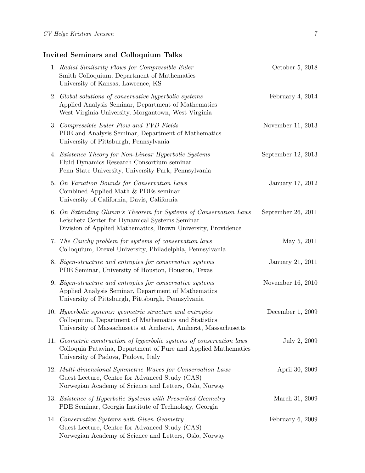## Invited Seminars and Colloquium Talks

| 1. Radial Similarity Flows for Compressible Euler<br>Smith Colloquium, Department of Mathematics<br>University of Kansas, Lawrence, KS                                              | October 5, 2018    |
|-------------------------------------------------------------------------------------------------------------------------------------------------------------------------------------|--------------------|
| 2. Global solutions of conservative hyperbolic systems<br>Applied Analysis Seminar, Department of Mathematics<br>West Virginia University, Morgantown, West Virginia                | February 4, $2014$ |
| 3. Compressible Euler Flow and TVD Fields<br>PDE and Analysis Seminar, Department of Mathematics<br>University of Pittsburgh, Pennsylvania                                          | November 11, 2013  |
| 4. Existence Theory for Non-Linear Hyperbolic Systems<br>Fluid Dynamics Research Consortium seminar<br>Penn State University, University Park, Pennsylvania                         | September 12, 2013 |
| 5. On Variation Bounds for Conservation Laws<br>Combined Applied Math & PDEs seminar<br>University of California, Davis, California                                                 | January 17, 2012   |
| 6. On Extending Glimm's Theorem for Systems of Conservation Laws<br>Lefschetz Center for Dynamical Systems Seminar<br>Division of Applied Mathematics, Brown University, Providence | September 26, 2011 |
| 7. The Cauchy problem for systems of conservation laws<br>Colloquium, Drexel University, Philadelphia, Pennsylvania                                                                 | May 5, 2011        |
| 8. Eigen-structure and entropies for conservative systems<br>PDE Seminar, University of Houston, Houston, Texas                                                                     | January 21, 2011   |
| 9. Eigen-structure and entropies for conservative systems<br>Applied Analysis Seminar, Department of Mathematics<br>University of Pittsburgh, Pittsburgh, Pennsylvania              | November 16, 2010  |
| 10. Hyperbolic systems: geometric structure and entropies<br>Colloquium, Department of Mathematics and Statistics<br>University of Massachusetts at Amherst, Amherst, Massachusetts | December $1, 2009$ |
| 11. Geometric construction of hyperbolic systems of conservation laws<br>Colloquia Patavina, Department of Pure and Applied Mathematics<br>University of Padova, Padova, Italy      | July 2, 2009       |
| 12. Multi-dimensional Symmetric Waves for Conservation Laws<br>Guest Lecture, Centre for Advanced Study (CAS)<br>Norwegian Academy of Science and Letters, Oslo, Norway             | April 30, 2009     |
| 13. Existence of Hyperbolic Systems with Prescribed Geometry<br>PDE Seminar, Georgia Institute of Technology, Georgia                                                               | March 31, 2009     |
| 14. Conservative Systems with Given Geometry<br>Guest Lecture, Centre for Advanced Study (CAS)<br>Norwegian Academy of Science and Letters, Oslo, Norway                            | February $6, 2009$ |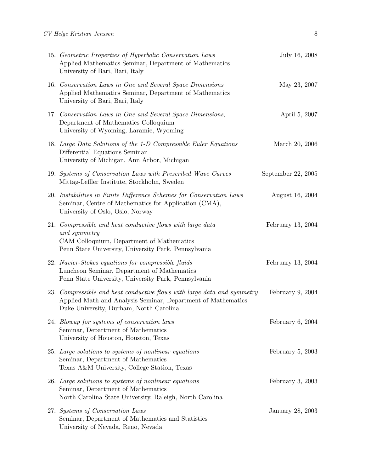| 15. Geometric Properties of Hyperbolic Conservation Laws<br>Applied Mathematics Seminar, Department of Mathematics<br>University of Bari, Bari, Italy                              | July 16, 2008      |
|------------------------------------------------------------------------------------------------------------------------------------------------------------------------------------|--------------------|
| 16. Conservation Laws in One and Several Space Dimensions<br>Applied Mathematics Seminar, Department of Mathematics<br>University of Bari, Bari, Italy                             | May 23, 2007       |
| 17. Conservation Laws in One and Several Space Dimensions,<br>Department of Mathematics Colloquium<br>University of Wyoming, Laramie, Wyoming                                      | April 5, 2007      |
| 18. Large Data Solutions of the 1-D Compressible Euler Equations<br>Differential Equations Seminar<br>University of Michigan, Ann Arbor, Michigan                                  | March 20, 2006     |
| 19. Systems of Conservation Laws with Prescribed Wave Curves<br>Mittag-Leffler Institute, Stockholm, Sweden                                                                        | September 22, 2005 |
| 20. Instabilities in Finite Difference Schemes for Conservation Laws<br>Seminar, Centre of Mathematics for Application (CMA),<br>University of Oslo, Oslo, Norway                  | August 16, 2004    |
| 21. Compressible and heat conductive flows with large data<br>and symmetry<br>CAM Colloquium, Department of Mathematics<br>Penn State University, University Park, Pennsylvania    | February 13, 2004  |
| 22. Navier-Stokes equations for compressible fluids<br>Luncheon Seminar, Department of Mathematics<br>Penn State University, University Park, Pennsylvania                         | February 13, 2004  |
| 23. Compressible and heat conductive flows with large data and symmetry<br>Applied Math and Analysis Seminar, Department of Mathematics<br>Duke University, Durham, North Carolina | February $9, 2004$ |
| 24. Blowup for systems of conservation laws<br>Seminar, Department of Mathematics<br>University of Houston, Houston, Texas                                                         | February 6, 2004   |
| 25. Large solutions to systems of nonlinear equations<br>Seminar, Department of Mathematics<br>Texas A&M University, College Station, Texas                                        | February $5, 2003$ |
| 26. Large solutions to systems of nonlinear equations<br>Seminar, Department of Mathematics<br>North Carolina State University, Raleigh, North Carolina                            | February $3, 2003$ |
| 27. Systems of Conservation Laws<br>Seminar, Department of Mathematics and Statistics<br>University of Nevada, Reno, Nevada                                                        | January 28, 2003   |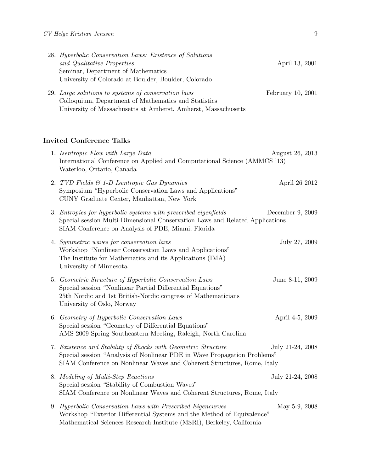| 28. Hyperbolic Conservation Laws: Existence of Solutions<br>and Qualitative Properties<br>Seminar, Department of Mathematics<br>University of Colorado at Boulder, Boulder, Colorado                                 | April 13, 2001    |
|----------------------------------------------------------------------------------------------------------------------------------------------------------------------------------------------------------------------|-------------------|
| 29. Large solutions to systems of conservation laws<br>Colloquium, Department of Mathematics and Statistics<br>University of Massachusetts at Amherst, Amherst, Massachusetts                                        | February 10, 2001 |
| <b>Invited Conference Talks</b>                                                                                                                                                                                      |                   |
| 1. Isentropic Flow with Large Data<br>International Conference on Applied and Computational Science (AMMCS '13)<br>Waterloo, Ontario, Canada                                                                         | August 26, 2013   |
| 2. TVD Fields & 1-D Isentropic Gas Dynamics<br>Symposium "Hyperbolic Conservation Laws and Applications"<br>CUNY Graduate Center, Manhattan, New York                                                                | April 26 2012     |
| 3. Entropies for hyperbolic systems with prescribed eigenfields<br>Special session Multi-Dimensional Conservation Laws and Related Applications<br>SIAM Conference on Analysis of PDE, Miami, Florida                | December 9, 2009  |
| 4. Symmetric waves for conservation laws<br>Workshop "Nonlinear Conservation Laws and Applications"<br>The Institute for Mathematics and its Applications (IMA)<br>University of Minnesota                           | July 27, 2009     |
| 5. Geometric Structure of Hyperbolic Conservation Laws<br>Special session "Nonlinear Partial Differential Equations"<br>25th Nordic and 1st British-Nordic congress of Mathematicians<br>University of Oslo, Norway  | June 8-11, 2009   |
| 6. Geometry of Hyperbolic Conservation Laws<br>Special session "Geometry of Differential Equations"<br>AMS 2009 Spring Southeastern Meeting, Raleigh, North Carolina                                                 | April 4-5, 2009   |
| 7. Existence and Stability of Shocks with Geometric Structure<br>Special session "Analysis of Nonlinear PDE in Wave Propagation Problems"<br>SIAM Conference on Nonlinear Waves and Coherent Structures, Rome, Italy | July 21-24, 2008  |
| 8. Modeling of Multi-Step Reactions<br>Special session "Stability of Combustion Waves"<br>SIAM Conference on Nonlinear Waves and Coherent Structures, Rome, Italy                                                    | July 21-24, 2008  |
| 9. Hyperbolic Conservation Laws with Prescribed Eigencurves<br>Workshop "Exterior Differential Systems and the Method of Equivalence"<br>Mathematical Sciences Research Institute (MSRI), Berkeley, California       | May 5-9, 2008     |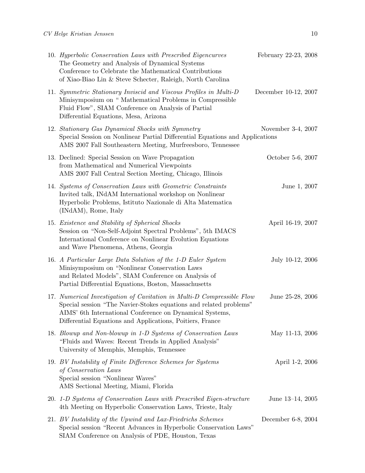| 10. Hyperbolic Conservation Laws with Prescribed Eigencurves<br>The Geometry and Analysis of Dynamical Systems<br>Conference to Celebrate the Mathematical Contributions<br>of Xiao-Biao Lin & Steve Schecter, Raleigh, North Carolina                                | February 22-23, 2008 |
|-----------------------------------------------------------------------------------------------------------------------------------------------------------------------------------------------------------------------------------------------------------------------|----------------------|
| 11. Symmetric Stationary Inviscid and Viscous Profiles in Multi-D<br>Minisymposium on "Mathematical Problems in Compressible<br>Fluid Flow", SIAM Conference on Analysis of Partial<br>Differential Equations, Mesa, Arizona                                          | December 10-12, 2007 |
| 12. Stationary Gas Dynamical Shocks with Symmetry<br>Special Session on Nonlinear Partial Differential Equations and Applications<br>AMS 2007 Fall Southeastern Meeting, Murfreesboro, Tennessee                                                                      | November 3-4, 2007   |
| 13. Declined: Special Session on Wave Propagation<br>from Mathematical and Numerical Viewpoints<br>AMS 2007 Fall Central Section Meeting, Chicago, Illinois                                                                                                           | October 5-6, 2007    |
| 14. Systems of Conservation Laws with Geometric Constraints<br>Invited talk, INdAM International workshop on Nonlinear<br>Hyperbolic Problems, Istituto Nazionale di Alta Matematica<br>(INdAM), Rome, Italy                                                          | June 1, 2007         |
| 15. Existence and Stability of Spherical Shocks<br>Session on "Non-Self-Adjoint Spectral Problems", 5th IMACS<br>International Conference on Nonlinear Evolution Equations<br>and Wave Phenomena, Athens, Georgia                                                     | April 16-19, 2007    |
| 16. A Particular Large Data Solution of the 1-D Euler System<br>Minisymposium on "Nonlinear Conservation Laws<br>and Related Models", SIAM Conference on Analysis of<br>Partial Differential Equations, Boston, Massachusetts                                         | July 10-12, 2006     |
| 17. Numerical Investigation of Cavitation in Multi-D Compressible Flow<br>Special session "The Navier-Stokes equations and related problems"<br>AIMS' 6th International Conference on Dynamical Systems,<br>Differential Equations and Applications, Poitiers, France | June 25-28, 2006     |
| 18. Blowup and Non-blowup in 1-D Systems of Conservation Laws<br>"Fluids and Waves: Recent Trends in Applied Analysis"<br>University of Memphis, Memphis, Tennessee                                                                                                   | May 11-13, 2006      |
| 19. BV Instability of Finite Difference Schemes for Systems<br>of Conservation Laws<br>Special session "Nonlinear Waves"<br>AMS Sectional Meeting, Miami, Florida                                                                                                     | April 1-2, 2006      |
| 20. 1-D Systems of Conservation Laws with Prescribed Eigen-structure<br>4th Meeting on Hyperbolic Conservation Laws, Trieste, Italy                                                                                                                                   | June 13–14, 2005     |
| 21. BV Instability of the Upwind and Lax-Friedrichs Schemes<br>Special session "Recent Advances in Hyperbolic Conservation Laws"<br>SIAM Conference on Analysis of PDE, Houston, Texas                                                                                | December 6-8, 2004   |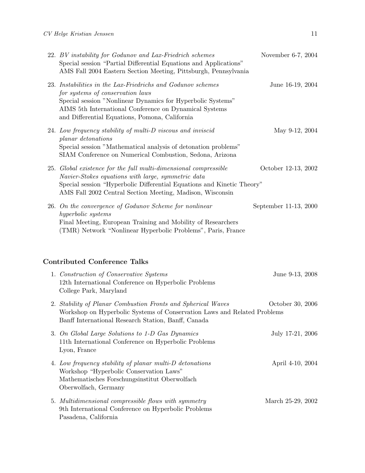| 22. BV instability for Godunov and Lax-Friedrich schemes<br>Special session "Partial Differential Equations and Applications"<br>AMS Fall 2004 Eastern Section Meeting, Pittsburgh, Pennsylvania                                                                           | November 6-7, 2004    |
|----------------------------------------------------------------------------------------------------------------------------------------------------------------------------------------------------------------------------------------------------------------------------|-----------------------|
| 23. Instabilities in the Lax-Friedrichs and Godunov schemes<br>for systems of conservation laws<br>Special session "Nonlinear Dynamics for Hyperbolic Systems"<br>AIMS 5th International Conference on Dynamical Systems<br>and Differential Equations, Pomona, California | June 16-19, 2004      |
| 24. Low frequency stability of multi-D viscous and inviscid<br>planar detonations<br>Special session "Mathematical analysis of detonation problems"<br>SIAM Conference on Numerical Combustion, Sedona, Arizona                                                            | May 9-12, 2004        |
| 25. Global existence for the full multi-dimensional compressible<br>Navier-Stokes equations with large, symmetric data<br>Special session "Hyperbolic Differential Equations and Kinetic Theory"<br>AMS Fall 2002 Central Section Meeting, Madison, Wisconsin              | October 12-13, 2002   |
| 26. On the convergence of Godunov Scheme for nonlinear<br>hyperbolic systems<br>Final Meeting, European Training and Mobility of Researchers<br>(TMR) Network "Nonlinear Hyperbolic Problems", Paris, France                                                               | September 11-13, 2000 |
| <b>Contributed Conference Talks</b>                                                                                                                                                                                                                                        |                       |
| 1. Construction of Conservative Systems<br>12th International Conference on Hyperbolic Problems<br>College Park, Maryland                                                                                                                                                  | June 9-13, 2008       |
| 2. Stability of Planar Combustion Fronts and Spherical Waves<br>Workshop on Hyperbolic Systems of Conservation Laws and Related Problems<br>Banff International Research Station, Banff, Canada                                                                            | October 30, 2006      |
| 3. On Global Large Solutions to 1-D Gas Dynamics<br>11th International Conference on Hyperbolic Problems<br>Lyon, France                                                                                                                                                   | July 17-21, 2006      |
| 4. Low frequency stability of planar multi-D detonations<br>Workshop "Hyperbolic Conservation Laws"<br>Mathematisches Forschungsinstitut Oberwolfach<br>Oberwolfach, Germany                                                                                               | April 4-10, 2004      |
| 5. Multidimensional compressible flows with symmetry<br>9th International Conference on Hyperbolic Problems<br>Pasadena, California                                                                                                                                        | March 25-29, 2002     |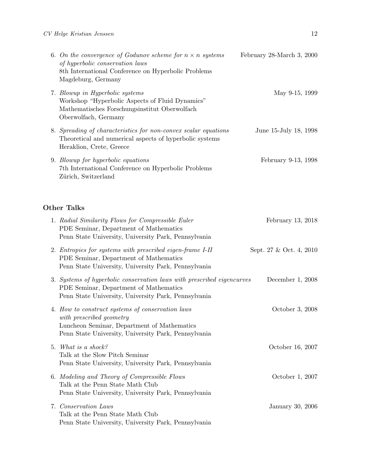| 6. On the convergence of Godunov scheme for $n \times n$ systems<br>of hyperbolic conservation laws<br>8th International Conference on Hyperbolic Problems<br>Magdeburg, Germany | February 28-March 3, 2000 |
|----------------------------------------------------------------------------------------------------------------------------------------------------------------------------------|---------------------------|
| 7. Blowup in Hyperbolic systems<br>Workshop "Hyperbolic Aspects of Fluid Dynamics"<br>Mathematisches Forschungsinstitut Oberwolfach<br>Oberwolfach, Germany                      | May 9-15, 1999            |
| 8. Spreading of characteristics for non-convex scalar equations<br>Theoretical and numerical aspects of hyperbolic systems<br>Heraklion, Crete, Greece                           | June 15-July 18, 1998     |
| 9. Blowup for hyperbolic equations<br>7th International Conference on Hyperbolic Problems<br>Zürich, Switzerland                                                                 | February 9-13, 1998       |

## Other Talks

| 1. Radial Similarity Flows for Compressible Euler<br>PDE Seminar, Department of Mathematics<br>Penn State University, University Park, Pennsylvania                                 | February 13, 2018       |
|-------------------------------------------------------------------------------------------------------------------------------------------------------------------------------------|-------------------------|
| 2. Entropies for systems with prescribed eigen-frame I-II<br>PDE Seminar, Department of Mathematics<br>Penn State University, University Park, Pennsylvania                         | Sept. 27 & Oct. 4, 2010 |
| 3. Systems of hyperbolic conservation laws with prescribed eigencurves<br>PDE Seminar, Department of Mathematics<br>Penn State University, University Park, Pennsylvania            | December $1, 2008$      |
| 4. How to construct systems of conservation laws<br>with prescribed geometry<br>Luncheon Seminar, Department of Mathematics<br>Penn State University, University Park, Pennsylvania | October 3, 2008         |
| 5. What is a shock?<br>Talk at the Slow Pitch Seminar<br>Penn State University, University Park, Pennsylvania                                                                       | October 16, 2007        |
| 6. Modeling and Theory of Compressible Flows<br>Talk at the Penn State Math Club<br>Penn State University, University Park, Pennsylvania                                            | October 1, 2007         |
| 7. Conservation Laws<br>Talk at the Penn State Math Club<br>Penn State University, University Park, Pennsylvania                                                                    | January 30, 2006        |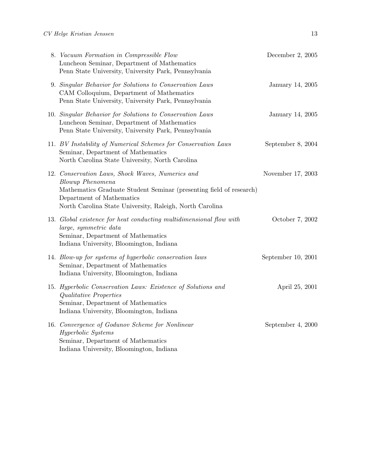| 8. Vacuum Formation in Compressible Flow<br>Luncheon Seminar, Department of Mathematics<br>Penn State University, University Park, Pennsylvania                                                                                             | December 2, 2005   |
|---------------------------------------------------------------------------------------------------------------------------------------------------------------------------------------------------------------------------------------------|--------------------|
| 9. Singular Behavior for Solutions to Conservation Laws<br>CAM Colloquium, Department of Mathematics<br>Penn State University, University Park, Pennsylvania                                                                                | January 14, 2005   |
| 10. Singular Behavior for Solutions to Conservation Laws<br>Luncheon Seminar, Department of Mathematics<br>Penn State University, University Park, Pennsylvania                                                                             | January 14, 2005   |
| 11. BV Instability of Numerical Schemes for Conservation Laws<br>Seminar, Department of Mathematics<br>North Carolina State University, North Carolina                                                                                      | September 8, 2004  |
| 12. Conservation Laws, Shock Waves, Numerics and<br><b>Blowup</b> Phenomena<br>Mathematics Graduate Student Seminar (presenting field of research)<br>Department of Mathematics<br>North Carolina State University, Raleigh, North Carolina | November 17, 2003  |
| 13. Global existence for heat conducting multidimensional flow with<br>large, symmetric data<br>Seminar, Department of Mathematics<br>Indiana University, Bloomington, Indiana                                                              | October 7, 2002    |
| 14. Blow-up for systems of hyperbolic conservation laws<br>Seminar, Department of Mathematics<br>Indiana University, Bloomington, Indiana                                                                                                   | September 10, 2001 |
| 15. Hyperbolic Conservation Laws: Existence of Solutions and<br>Qualitative Properties<br>Seminar, Department of Mathematics<br>Indiana University, Bloomington, Indiana                                                                    | April 25, 2001     |
| 16. Convergence of Godunov Scheme for Nonlinear<br>Hyperbolic Systems<br>Seminar, Department of Mathematics<br>Indiana University, Bloomington, Indiana                                                                                     | September 4, 2000  |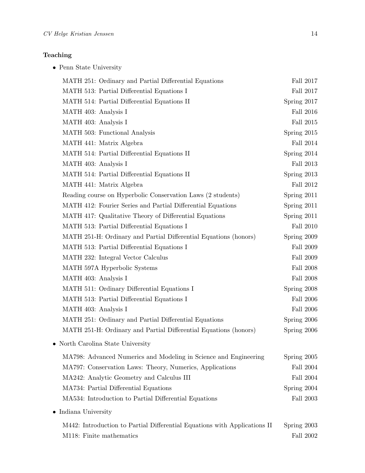## Teaching

 $\bullet\,$  Penn State University

| MATH 251: Ordinary and Partial Differential Equations                     | Fall 2017        |
|---------------------------------------------------------------------------|------------------|
| MATH 513: Partial Differential Equations I                                | Fall 2017        |
| MATH 514: Partial Differential Equations II                               | Spring 2017      |
| MATH 403: Analysis I                                                      | Fall 2016        |
| MATH 403: Analysis I                                                      | Fall 2015        |
| MATH 503: Functional Analysis                                             | Spring 2015      |
| MATH 441: Matrix Algebra                                                  | Fall 2014        |
| MATH 514: Partial Differential Equations II                               | Spring 2014      |
| MATH 403: Analysis I                                                      | Fall 2013        |
| MATH 514: Partial Differential Equations II                               | Spring 2013      |
| MATH 441: Matrix Algebra                                                  | Fall 2012        |
| Reading course on Hyperbolic Conservation Laws (2 students)               | Spring 2011      |
| MATH 412: Fourier Series and Partial Differential Equations               | Spring 2011      |
| MATH 417: Qualitative Theory of Differential Equations                    | Spring 2011      |
| MATH 513: Partial Differential Equations I                                | Fall 2010        |
| MATH 251-H: Ordinary and Partial Differential Equations (honors)          | Spring 2009      |
| MATH 513: Partial Differential Equations I                                | Fall 2009        |
| MATH 232: Integral Vector Calculus                                        | Fall 2009        |
| MATH 597A Hyperbolic Systems                                              | <b>Fall 2008</b> |
| MATH 403: Analysis I                                                      | <b>Fall 2008</b> |
| MATH 511: Ordinary Differential Equations I                               | Spring 2008      |
| MATH 513: Partial Differential Equations I                                | Fall 2006        |
| MATH 403: Analysis I                                                      | <b>Fall 2006</b> |
| MATH 251: Ordinary and Partial Differential Equations                     | Spring 2006      |
| MATH 251-H: Ordinary and Partial Differential Equations (honors)          | Spring 2006      |
| • North Carolina State University                                         |                  |
| MA798: Advanced Numerics and Modeling in Science and Engineering          | Spring 2005      |
| MA797: Conservation Laws: Theory, Numerics, Applications                  | <b>Fall 2004</b> |
| MA242: Analytic Geometry and Calculus III                                 | Fall 2004        |
| MA734: Partial Differential Equations                                     | Spring 2004      |
| MA534: Introduction to Partial Differential Equations                     | Fall 2003        |
| • Indiana University                                                      |                  |
| M442: Introduction to Partial Differential Equations with Applications II | Spring 2003      |
| M118: Finite mathematics                                                  | Fall 2002        |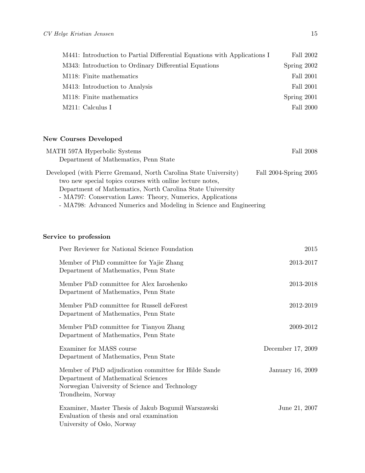| M441: Introduction to Partial Differential Equations with Applications I | Fall 2002   |
|--------------------------------------------------------------------------|-------------|
| M343: Introduction to Ordinary Differential Equations                    | Spring 2002 |
| M118: Finite mathematics                                                 | Fall 2001   |
| M413: Introduction to Analysis                                           | Fall 2001   |
| M118: Finite mathematics                                                 | Spring 2001 |
| M211: Calculus I                                                         | Fall 2000   |

## New Courses Developed

| MATH 597A Hyperbolic Systems                                     | Fall 2008             |
|------------------------------------------------------------------|-----------------------|
| Department of Mathematics, Penn State                            |                       |
| Developed (with Pierre Gremaud, North Carolina State University) | Fall 2004-Spring 2005 |
| two new special topics courses with online lecture notes,        |                       |
| Department of Mathematics, North Carolina State University       |                       |

- MA797: Conservation Laws: Theory, Numerics, Applications

- MA798: Advanced Numerics and Modeling in Science and Engineering

### Service to profession

| Peer Reviewer for National Science Foundation                                                                                                                      | 2015              |
|--------------------------------------------------------------------------------------------------------------------------------------------------------------------|-------------------|
| Member of PhD committee for Yajie Zhang<br>Department of Mathematics, Penn State                                                                                   | 2013-2017         |
| Member PhD committee for Alex Iaroshenko<br>Department of Mathematics, Penn State                                                                                  | 2013-2018         |
| Member PhD committee for Russell deForest<br>Department of Mathematics, Penn State                                                                                 | 2012-2019         |
| Member PhD committee for Tianyou Zhang<br>Department of Mathematics, Penn State                                                                                    | 2009-2012         |
| Examiner for MASS course<br>Department of Mathematics, Penn State                                                                                                  | December 17, 2009 |
| Member of PhD adjudication committee for Hilde Sande<br>Department of Mathematical Sciences<br>Norwegian University of Science and Technology<br>Trondheim, Norway | January 16, 2009  |
| Examiner, Master Thesis of Jakub Bogumił Warszawski<br>Evaluation of thesis and oral examination<br>University of Oslo, Norway                                     | June 21, 2007     |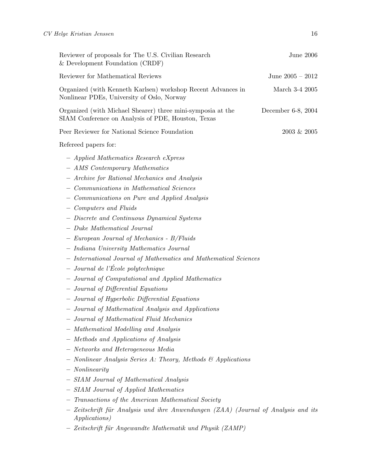| Reviewer of proposals for The U.S. Civilian Research<br>& Development Foundation (CRDF)                                                                                                                                                                                                                                                                                                                                                                                                                                                                                                                                                                                                                                                                                                                                                                                                                         | <b>June 2006</b>   |
|-----------------------------------------------------------------------------------------------------------------------------------------------------------------------------------------------------------------------------------------------------------------------------------------------------------------------------------------------------------------------------------------------------------------------------------------------------------------------------------------------------------------------------------------------------------------------------------------------------------------------------------------------------------------------------------------------------------------------------------------------------------------------------------------------------------------------------------------------------------------------------------------------------------------|--------------------|
| Reviewer for Mathematical Reviews                                                                                                                                                                                                                                                                                                                                                                                                                                                                                                                                                                                                                                                                                                                                                                                                                                                                               | June $2005 - 2012$ |
| Organized (with Kenneth Karlsen) workshop Recent Advances in<br>Nonlinear PDEs, University of Oslo, Norway                                                                                                                                                                                                                                                                                                                                                                                                                                                                                                                                                                                                                                                                                                                                                                                                      | March 3-4 2005     |
| Organized (with Michael Shearer) three mini-symposia at the<br>SIAM Conference on Analysis of PDE, Houston, Texas                                                                                                                                                                                                                                                                                                                                                                                                                                                                                                                                                                                                                                                                                                                                                                                               | December 6-8, 2004 |
| Peer Reviewer for National Science Foundation                                                                                                                                                                                                                                                                                                                                                                                                                                                                                                                                                                                                                                                                                                                                                                                                                                                                   | 2003 & 2005        |
| Refereed papers for:                                                                                                                                                                                                                                                                                                                                                                                                                                                                                                                                                                                                                                                                                                                                                                                                                                                                                            |                    |
| - Applied Mathematics Research eXpress<br>- AMS Contemporary Mathematics<br>- Archive for Rational Mechanics and Analysis<br>- Communications in Mathematical Sciences<br>- Communications on Pure and Applied Analysis<br>- Computers and Fluids<br>- Discrete and Continuous Dynamical Systems<br>- Duke Mathematical Journal<br>- European Journal of Mechanics - B/Fluids<br>- Indiana University Mathematics Journal<br>- International Journal of Mathematics and Mathematical Sciences<br>$-$ Journal de l'École polytechnique<br>- Journal of Computational and Applied Mathematics<br>Journal of Differential Equations<br>- Journal of Hyperbolic Differential Equations<br>- Journal of Mathematical Analysis and Applications<br>- Journal of Mathematical Fluid Mechanics<br>- Mathematical Modelling and Analysis<br>- Methods and Applications of Analysis<br>- Networks and Heterogeneous Media |                    |
| Nonlinear Analysis Series A: Theory, Methods & Applications                                                                                                                                                                                                                                                                                                                                                                                                                                                                                                                                                                                                                                                                                                                                                                                                                                                     |                    |
| $-$ Nonlinearity                                                                                                                                                                                                                                                                                                                                                                                                                                                                                                                                                                                                                                                                                                                                                                                                                                                                                                |                    |
| - SIAM Journal of Mathematical Analysis                                                                                                                                                                                                                                                                                                                                                                                                                                                                                                                                                                                                                                                                                                                                                                                                                                                                         |                    |
| <b>SIAM</b> Journal of Applied Mathematics                                                                                                                                                                                                                                                                                                                                                                                                                                                                                                                                                                                                                                                                                                                                                                                                                                                                      |                    |
| Transactions of the American Mathematical Society<br>Zeitschrift für Analysis und ihre Anwendungen (ZAA) (Journal of Analysis and its<br><i>Applications</i> )                                                                                                                                                                                                                                                                                                                                                                                                                                                                                                                                                                                                                                                                                                                                                  |                    |
| Zeitschrift für Angewandte Mathematik und Physik (ZAMP)                                                                                                                                                                                                                                                                                                                                                                                                                                                                                                                                                                                                                                                                                                                                                                                                                                                         |                    |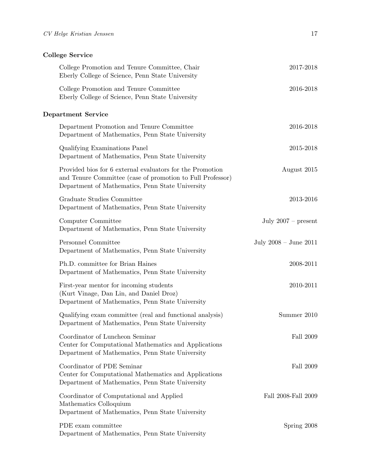## College Service

| College Promotion and Tenure Committee, Chair<br>Eberly College of Science, Penn State University                                                                           | 2017-2018                 |
|-----------------------------------------------------------------------------------------------------------------------------------------------------------------------------|---------------------------|
| College Promotion and Tenure Committee<br>Eberly College of Science, Penn State University                                                                                  | 2016-2018                 |
| <b>Department Service</b>                                                                                                                                                   |                           |
| Department Promotion and Tenure Committee<br>Department of Mathematics, Penn State University                                                                               | 2016-2018                 |
| Qualifying Examinations Panel<br>Department of Mathematics, Penn State University                                                                                           | 2015-2018                 |
| Provided bios for 6 external evaluators for the Promotion<br>and Tenure Committee (case of promotion to Full Professor)<br>Department of Mathematics, Penn State University | August 2015               |
| Graduate Studies Committee<br>Department of Mathematics, Penn State University                                                                                              | 2013-2016                 |
| Computer Committee<br>Department of Mathematics, Penn State University                                                                                                      | July $2007$ – present     |
| Personnel Committee<br>Department of Mathematics, Penn State University                                                                                                     | July $2008 -$ June $2011$ |
| Ph.D. committee for Brian Haines<br>Department of Mathematics, Penn State University                                                                                        | 2008-2011                 |
| First-year mentor for incoming students<br>(Kurt Vinage, Dan Lin, and Daniel Droz)<br>Department of Mathematics, Penn State University                                      | 2010-2011                 |
| Qualifying exam committee (real and functional analysis)<br>Department of Mathematics, Penn State University                                                                | Summer 2010               |
| Coordinator of Luncheon Seminar<br>Center for Computational Mathematics and Applications<br>Department of Mathematics, Penn State University                                | Fall 2009                 |
| Coordinator of PDE Seminar<br>Center for Computational Mathematics and Applications<br>Department of Mathematics, Penn State University                                     | Fall 2009                 |
| Coordinator of Computational and Applied<br>Mathematics Colloquium<br>Department of Mathematics, Penn State University                                                      | Fall 2008-Fall 2009       |
| PDE exam committee<br>Department of Mathematics, Penn State University                                                                                                      | Spring 2008               |